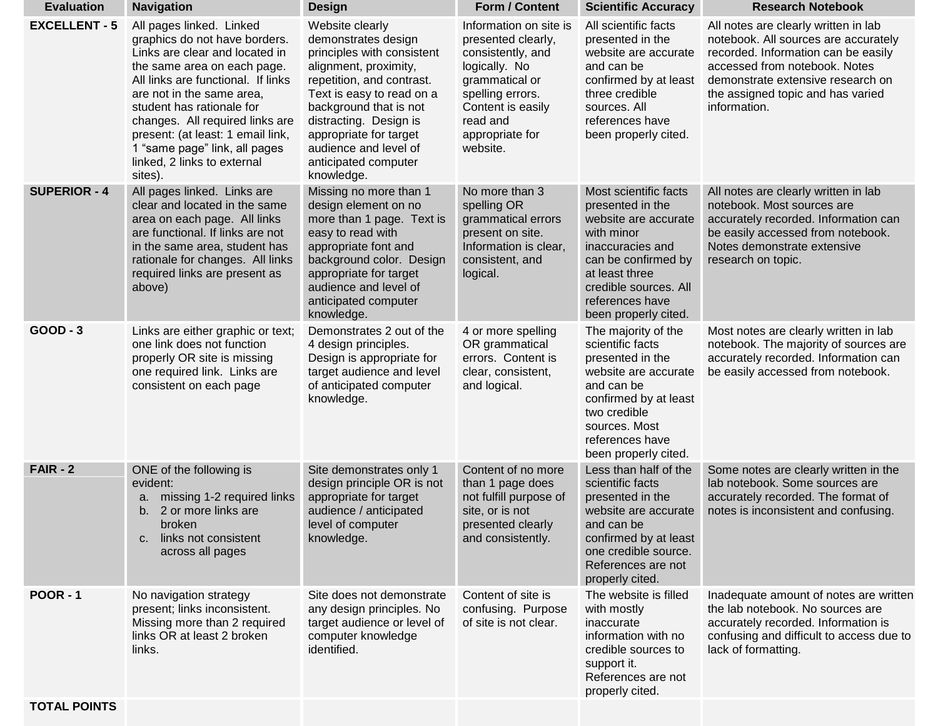| <b>Evaluation</b>    | <b>Navigation</b>                                                                                                                                                                                                                                                                                                                                                             | <b>Design</b>                                                                                                                                                                                                                                                                                        | <b>Form / Content</b>                                                                                                                                                                    | <b>Scientific Accuracy</b>                                                                                                                                                                                       | <b>Research Notebook</b>                                                                                                                                                                                                                       |
|----------------------|-------------------------------------------------------------------------------------------------------------------------------------------------------------------------------------------------------------------------------------------------------------------------------------------------------------------------------------------------------------------------------|------------------------------------------------------------------------------------------------------------------------------------------------------------------------------------------------------------------------------------------------------------------------------------------------------|------------------------------------------------------------------------------------------------------------------------------------------------------------------------------------------|------------------------------------------------------------------------------------------------------------------------------------------------------------------------------------------------------------------|------------------------------------------------------------------------------------------------------------------------------------------------------------------------------------------------------------------------------------------------|
| <b>EXCELLENT - 5</b> | All pages linked. Linked<br>graphics do not have borders.<br>Links are clear and located in<br>the same area on each page.<br>All links are functional. If links<br>are not in the same area,<br>student has rationale for<br>changes. All required links are<br>present: (at least: 1 email link,<br>1 "same page" link, all pages<br>linked, 2 links to external<br>sites). | Website clearly<br>demonstrates design<br>principles with consistent<br>alignment, proximity,<br>repetition, and contrast.<br>Text is easy to read on a<br>background that is not<br>distracting. Design is<br>appropriate for target<br>audience and level of<br>anticipated computer<br>knowledge. | Information on site is<br>presented clearly,<br>consistently, and<br>logically. No<br>grammatical or<br>spelling errors.<br>Content is easily<br>read and<br>appropriate for<br>website. | All scientific facts<br>presented in the<br>website are accurate<br>and can be<br>confirmed by at least<br>three credible<br>sources. All<br>references have<br>been properly cited.                             | All notes are clearly written in lab<br>notebook. All sources are accurately<br>recorded. Information can be easily<br>accessed from notebook. Notes<br>demonstrate extensive research on<br>the assigned topic and has varied<br>information. |
| <b>SUPERIOR - 4</b>  | All pages linked. Links are<br>clear and located in the same<br>area on each page. All links<br>are functional. If links are not<br>in the same area, student has<br>rationale for changes. All links<br>required links are present as<br>above)                                                                                                                              | Missing no more than 1<br>design element on no<br>more than 1 page. Text is<br>easy to read with<br>appropriate font and<br>background color. Design<br>appropriate for target<br>audience and level of<br>anticipated computer<br>knowledge.                                                        | No more than 3<br>spelling OR<br>grammatical errors<br>present on site.<br>Information is clear,<br>consistent, and<br>logical.                                                          | Most scientific facts<br>presented in the<br>website are accurate<br>with minor<br>inaccuracies and<br>can be confirmed by<br>at least three<br>credible sources. All<br>references have<br>been properly cited. | All notes are clearly written in lab<br>notebook. Most sources are<br>accurately recorded. Information can<br>be easily accessed from notebook.<br>Notes demonstrate extensive<br>research on topic.                                           |
| <b>GOOD - 3</b>      | Links are either graphic or text;<br>one link does not function<br>properly OR site is missing<br>one required link. Links are<br>consistent on each page                                                                                                                                                                                                                     | Demonstrates 2 out of the<br>4 design principles.<br>Design is appropriate for<br>target audience and level<br>of anticipated computer<br>knowledge.                                                                                                                                                 | 4 or more spelling<br>OR grammatical<br>errors. Content is<br>clear, consistent,<br>and logical.                                                                                         | The majority of the<br>scientific facts<br>presented in the<br>website are accurate<br>and can be<br>confirmed by at least<br>two credible<br>sources. Most<br>references have<br>been properly cited.           | Most notes are clearly written in lab<br>notebook. The majority of sources are<br>accurately recorded. Information can<br>be easily accessed from notebook.                                                                                    |
| <b>FAIR - 2</b>      | ONE of the following is<br>evident:<br>missing 1-2 required links<br>а.<br>2 or more links are<br>b.<br>broken<br>links not consistent<br>C.<br>across all pages                                                                                                                                                                                                              | Site demonstrates only 1<br>design principle OR is not<br>appropriate for target<br>audience / anticipated<br>level of computer<br>knowledge.                                                                                                                                                        | Content of no more<br>than 1 page does<br>not fulfill purpose of<br>site, or is not<br>presented clearly<br>and consistently.                                                            | Less than half of the<br>scientific facts<br>presented in the<br>website are accurate<br>and can be<br>confirmed by at least<br>one credible source.<br>References are not<br>properly cited.                    | Some notes are clearly written in the<br>lab notebook. Some sources are<br>accurately recorded. The format of<br>notes is inconsistent and confusing.                                                                                          |
| <b>POOR - 1</b>      | No navigation strategy<br>present; links inconsistent.<br>Missing more than 2 required<br>links OR at least 2 broken<br>links.                                                                                                                                                                                                                                                | Site does not demonstrate<br>any design principles. No<br>target audience or level of<br>computer knowledge<br>identified.                                                                                                                                                                           | Content of site is<br>confusing. Purpose<br>of site is not clear.                                                                                                                        | The website is filled<br>with mostly<br>inaccurate<br>information with no<br>credible sources to<br>support it.<br>References are not<br>properly cited.                                                         | Inadequate amount of notes are written<br>the lab notebook. No sources are<br>accurately recorded. Information is<br>confusing and difficult to access due to<br>lack of formatting.                                                           |
| <b>TOTAL POINTS</b>  |                                                                                                                                                                                                                                                                                                                                                                               |                                                                                                                                                                                                                                                                                                      |                                                                                                                                                                                          |                                                                                                                                                                                                                  |                                                                                                                                                                                                                                                |